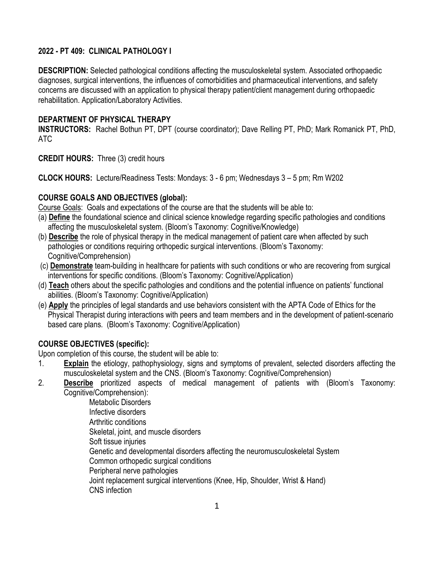# **2022 - PT 409: CLINICAL PATHOLOGY I**

**DESCRIPTION:** Selected pathological conditions affecting the musculoskeletal system. Associated orthopaedic diagnoses, surgical interventions, the influences of comorbidities and pharmaceutical interventions, and safety concerns are discussed with an application to physical therapy patient/client management during orthopaedic rehabilitation. Application/Laboratory Activities.

### **DEPARTMENT OF PHYSICAL THERAPY**

**INSTRUCTORS:** Rachel Bothun PT, DPT (course coordinator); Dave Relling PT, PhD; Mark Romanick PT, PhD, ATC

**CREDIT HOURS:** Three (3) credit hours

**CLOCK HOURS:** Lecture/Readiness Tests: Mondays: 3 - 6 pm; Wednesdays 3 – 5 pm; Rm W202

## **COURSE GOALS AND OBJECTIVES (global):**

Course Goals: Goals and expectations of the course are that the students will be able to:

- (a) **Define** the foundational science and clinical science knowledge regarding specific pathologies and conditions affecting the musculoskeletal system. (Bloom's Taxonomy: Cognitive/Knowledge)
- (b) **Describe** the role of physical therapy in the medical management of patient care when affected by such pathologies or conditions requiring orthopedic surgical interventions. (Bloom's Taxonomy: Cognitive/Comprehension)
- (c) **Demonstrate** team-building in healthcare for patients with such conditions or who are recovering from surgical interventions for specific conditions. (Bloom's Taxonomy: Cognitive/Application)
- (d) **Teach** others about the specific pathologies and conditions and the potential influence on patients' functional abilities. (Bloom's Taxonomy: Cognitive/Application)
- (e) **Apply** the principles of legal standards and use behaviors consistent with the APTA Code of Ethics for the Physical Therapist during interactions with peers and team members and in the development of patient-scenario based care plans. (Bloom's Taxonomy: Cognitive/Application)

## **COURSE OBJECTIVES (specific):**

Upon completion of this course, the student will be able to:

- 1. **Explain** the etiology, pathophysiology, signs and symptoms of prevalent, selected disorders affecting the musculoskeletal system and the CNS. (Bloom's Taxonomy: Cognitive/Comprehension)
- 2. **Describe** prioritized aspects of medical management of patients with (Bloom's Taxonomy: Cognitive/Comprehension):

Metabolic Disorders Infective disorders Arthritic conditions Skeletal, joint, and muscle disorders Soft tissue injuries Genetic and developmental disorders affecting the neuromusculoskeletal System Common orthopedic surgical conditions Peripheral nerve pathologies Joint replacement surgical interventions (Knee, Hip, Shoulder, Wrist & Hand) CNS infection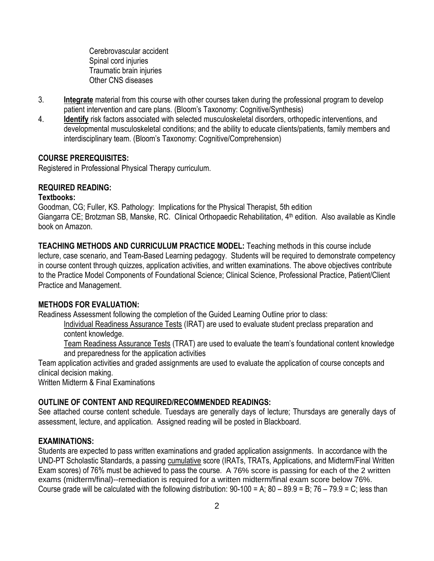Cerebrovascular accident Spinal cord injuries Traumatic brain injuries Other CNS diseases

- 3. **Integrate** material from this course with other courses taken during the professional program to develop patient intervention and care plans. (Bloom's Taxonomy: Cognitive/Synthesis)
- 4. **Identify** risk factors associated with selected musculoskeletal disorders, orthopedic interventions, and developmental musculoskeletal conditions; and the ability to educate clients/patients, family members and interdisciplinary team. (Bloom's Taxonomy: Cognitive/Comprehension)

## **COURSE PREREQUISITES:**

Registered in Professional Physical Therapy curriculum.

### **REQUIRED READING:**

#### **Textbooks:**

Goodman, CG; Fuller, KS. Pathology: Implications for the Physical Therapist, 5th edition Giangarra CE; Brotzman SB, Manske, RC. Clinical Orthopaedic Rehabilitation, 4<sup>th</sup> edition. Also available as Kindle book on Amazon.

**TEACHING METHODS AND CURRICULUM PRACTICE MODEL:** Teaching methods in this course include lecture, case scenario, and Team-Based Learning pedagogy. Students will be required to demonstrate competency in course content through quizzes, application activities, and written examinations. The above objectives contribute to the Practice Model Components of Foundational Science; Clinical Science, Professional Practice, Patient/Client Practice and Management.

#### **METHODS FOR EVALUATION:**

Readiness Assessment following the completion of the Guided Learning Outline prior to class:

Individual Readiness Assurance Tests (IRAT) are used to evaluate student preclass preparation and content knowledge.

Team Readiness Assurance Tests (TRAT) are used to evaluate the team's foundational content knowledge and preparedness for the application activities

Team application activities and graded assignments are used to evaluate the application of course concepts and clinical decision making.

Written Midterm & Final Examinations

## **OUTLINE OF CONTENT AND REQUIRED/RECOMMENDED READINGS:**

See attached course content schedule. Tuesdays are generally days of lecture; Thursdays are generally days of assessment, lecture, and application. Assigned reading will be posted in Blackboard.

#### **EXAMINATIONS:**

Students are expected to pass written examinations and graded application assignments. In accordance with the UND-PT Scholastic Standards, a passing cumulative score (IRATs, TRATs, Applications, and Midterm/Final Written Exam scores) of 76% must be achieved to pass the course. A 76% score is passing for each of the 2 written exams (midterm/final)--remediation is required for a written midterm/final exam score below 76%. Course grade will be calculated with the following distribution:  $90-100 = A$ ;  $80-89.9 = B$ ;  $76-79.9 = C$ ; less than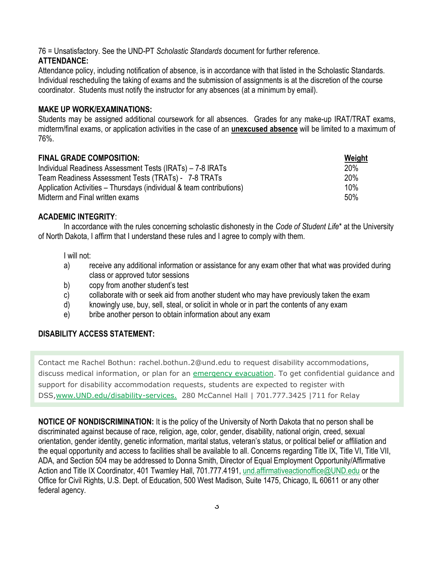76 = Unsatisfactory. See the UND-PT *Scholastic Standards* document for further reference. **ATTENDANCE:**

Attendance policy, including notification of absence, is in accordance with that listed in the Scholastic Standards. Individual rescheduling the taking of exams and the submission of assignments is at the discretion of the course coordinator. Students must notify the instructor for any absences (at a minimum by email).

### **MAKE UP WORK/EXAMINATIONS:**

Students may be assigned additional coursework for all absences. Grades for any make-up IRAT/TRAT exams, midterm/final exams, or application activities in the case of an **unexcused absence** will be limited to a maximum of 76%.

| <b>FINAL GRADE COMPOSITION:</b>                                      | Weight     |
|----------------------------------------------------------------------|------------|
| Individual Readiness Assessment Tests (IRATs) – 7-8 IRATs            | <b>20%</b> |
| Team Readiness Assessment Tests (TRATs) - 7-8 TRATs                  | <b>20%</b> |
| Application Activities – Thursdays (individual & team contributions) | 10%        |
| Midterm and Final written exams                                      | 50%        |

#### **ACADEMIC INTEGRITY**:

In accordance with the rules concerning scholastic dishonesty in the *Code of Student Life*\* at the University of North Dakota, I affirm that I understand these rules and I agree to comply with them.

I will not:

- a) receive any additional information or assistance for any exam other that what was provided during class or approved tutor sessions
- b) copy from another student's test
- c) collaborate with or seek aid from another student who may have previously taken the exam
- d) knowingly use, buy, sell, steal, or solicit in whole or in part the contents of any exam
- e) bribe another person to obtain information about any exam

## **DISABILITY ACCESS STATEMENT:**

Contact me Rachel Bothun: rachel.bothun.2@und.edu to request disability accommodations, discuss medical information, or plan for an [emergency evacuation.](http://www1.und.edu/public-safety/public-safety/fire-safety.cfm) To get confidential guidance and support for disability accommodation requests, students are expected to register with DSS[,www.UND.edu/disability-services.](http://www.und.edu/disability-services/) 280 McCannel Hall | 701.777.3425 |711 for Relay

**NOTICE OF NONDISCRIMINATION:** It is the policy of the University of North Dakota that no person shall be discriminated against because of race, religion, age, color, gender, disability, national origin, creed, sexual orientation, gender identity, genetic information, marital status, veteran's status, or political belief or affiliation and the equal opportunity and access to facilities shall be available to all. Concerns regarding Title IX, Title VI, Title VII, ADA, and Section 504 may be addressed to Donna Smith, Director of Equal Employment Opportunity/Affirmative Action and Title IX Coordinator, 401 Twamley Hall, 701.777.4191, [und.affirmativeactionoffice@UND.edu](mailto:und.affirmativeactionoffice@UND.edu) or the Office for Civil Rights, U.S. Dept. of Education, 500 West Madison, Suite 1475, Chicago, IL 60611 or any other federal agency.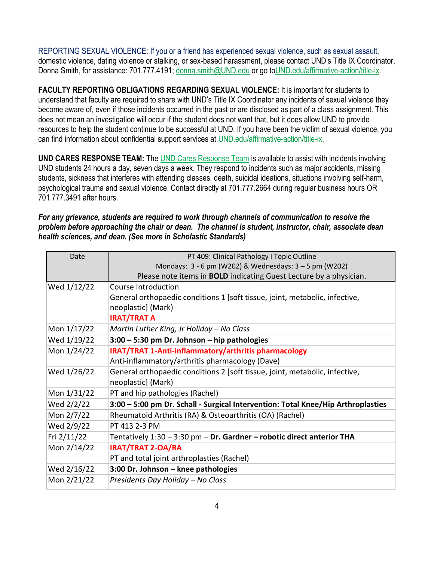REPORTING SEXUAL VIOLENCE: If you or a friend has experienced sexual violence, such as sexual assault, domestic violence, dating violence or stalking, or sex-based harassment, please contact UND's Title IX Coordinator, Donna Smith, for assistance: 701.777.4191; [donna.smith@UND.edu](mailto:donna.smith@UND.edu) or go t[oUND.edu/affirmative-action/title-ix.](http://und.edu/affirmative-action/title-ix/index.cfm)

**FACULTY REPORTING OBLIGATIONS REGARDING SEXUAL VIOLENCE:** It is important for students to understand that faculty are required to share with UND's Title IX Coordinator any incidents of sexual violence they become aware of, even if those incidents occurred in the past or are disclosed as part of a class assignment. This does not mean an investigation will occur if the student does not want that, but it does allow UND to provide resources to help the student continue to be successful at UND. If you have been the victim of sexual violence, you can find information about confidential support services at [UND.edu/affirmative-action/title-ix.](http://und.edu/affirmative-action/title-ix/index.cfm)

**UND CARES RESPONSE TEAM:** The [UND Cares Response Team](http://und.edu/student-affairs/student-rights-responsibilities/care-team.cfm) is available to assist with incidents involving UND students 24 hours a day, seven days a week. They respond to incidents such as major accidents, missing students, sickness that interferes with attending classes, death, suicidal ideations, situations involving self-harm, psychological trauma and sexual violence. Contact directly at 701.777.2664 during regular business hours OR 701.777.3491 after hours.

*For any grievance, students are required to work through channels of communication to resolve the problem before approaching the chair or dean. The channel is student, instructor, chair, associate dean health sciences, and dean. (See more in Scholastic Standards)*

| Date        | PT 409: Clinical Pathology I Topic Outline                                       |
|-------------|----------------------------------------------------------------------------------|
|             | Mondays: 3 - 6 pm (W202) & Wednesdays: 3 - 5 pm (W202)                           |
|             | Please note items in <b>BOLD</b> indicating Guest Lecture by a physician.        |
| Wed 1/12/22 | Course Introduction                                                              |
|             | General orthopaedic conditions 1 [soft tissue, joint, metabolic, infective,      |
|             | neoplastic] (Mark)                                                               |
|             | <b>IRAT/TRAT A</b>                                                               |
| Mon 1/17/22 | Martin Luther King, Jr Holiday - No Class                                        |
| Wed 1/19/22 | $3:00 - 5:30$ pm Dr. Johnson – hip pathologies                                   |
| Mon 1/24/22 | <b>IRAT/TRAT 1-Anti-inflammatory/arthritis pharmacology</b>                      |
|             | Anti-inflammatory/arthritis pharmacology (Dave)                                  |
| Wed 1/26/22 | General orthopaedic conditions 2 [soft tissue, joint, metabolic, infective,      |
|             | neoplastic] (Mark)                                                               |
| Mon 1/31/22 | PT and hip pathologies (Rachel)                                                  |
| Wed 2/2/22  | 3:00 - 5:00 pm Dr. Schall - Surgical Intervention: Total Knee/Hip Arthroplasties |
| Mon 2/7/22  | Rheumatoid Arthritis (RA) & Osteoarthritis (OA) (Rachel)                         |
| Wed 2/9/22  | PT 413 2-3 PM                                                                    |
| Fri 2/11/22 | Tentatively 1:30 - 3:30 pm - Dr. Gardner - robotic direct anterior THA           |
| Mon 2/14/22 | <b>IRAT/TRAT 2-OA/RA</b>                                                         |
|             | PT and total joint arthroplasties (Rachel)                                       |
| Wed 2/16/22 | 3:00 Dr. Johnson - knee pathologies                                              |
| Mon 2/21/22 | Presidents Day Holiday - No Class                                                |